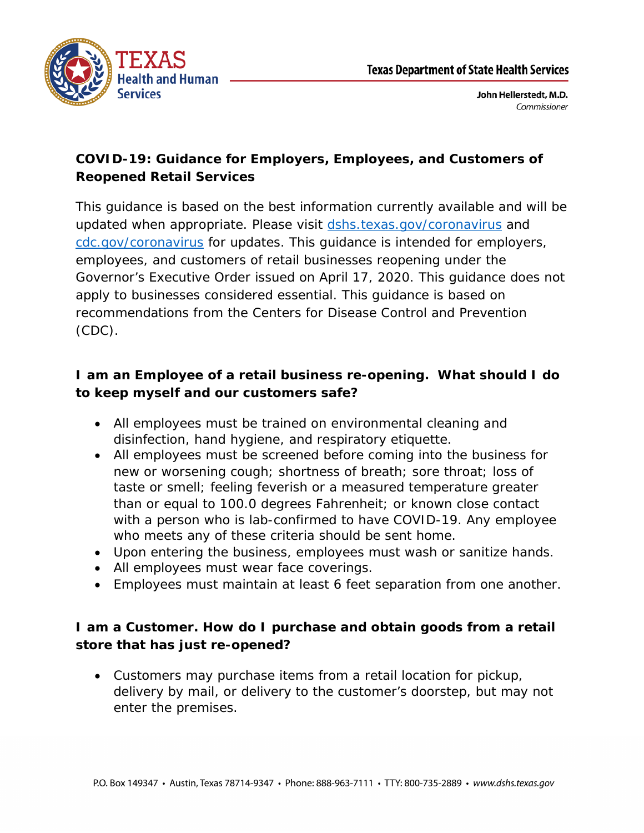



## **COVID-19: Guidance for Employers, Employees, and Customers of Reopened Retail Services**

This guidance is based on the best information currently available and will be updated when appropriate. Please visit [dshs.texas.gov/coronavirus](https://www.dshs.texas.gov/coronavirus) and [cdc.gov/coronavirus](https://www.cdc.gov/coronavirus) for updates. This guidance is intended for employers, employees, and customers of retail businesses reopening under the Governor's Executive Order issued on April 17, 2020. This guidance does not apply to businesses considered essential. This guidance is based on recommendations from the Centers for Disease Control and Prevention (CDC).

## **I am an Employee of a retail business re-opening. What should I do to keep myself and our customers safe?**

- All employees must be trained on environmental cleaning and disinfection, hand hygiene, and respiratory etiquette.
- All employees must be screened before coming into the business for new or worsening cough; shortness of breath; sore throat; loss of taste or smell; feeling feverish or a measured temperature greater than or equal to 100.0 degrees Fahrenheit; or known close contact with a person who is lab-confirmed to have COVID-19. Any employee who meets any of these criteria should be sent home.
- Upon entering the business, employees must wash or sanitize hands.
- All employees must wear face coverings.
- Employees must maintain at least 6 feet separation from one another.

## **I am a Customer. How do I purchase and obtain goods from a retail store that has just re-opened?**

• Customers may purchase items from a retail location for pickup, delivery by mail, or delivery to the customer's doorstep, but may not enter the premises.